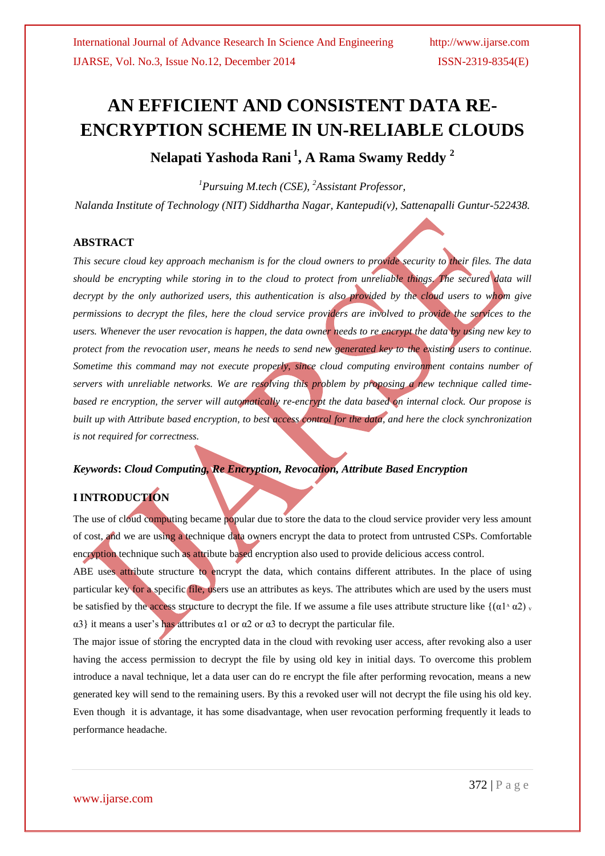# **AN EFFICIENT AND CONSISTENT DATA RE-ENCRYPTION SCHEME IN UN-RELIABLE CLOUDS**

**Nelapati Yashoda Rani <sup>1</sup> , A Rama Swamy Reddy <sup>2</sup>**

*<sup>1</sup>Pursuing M.tech (CSE), <sup>2</sup>Assistant Professor,*

*Nalanda Institute of Technology (NIT) Siddhartha Nagar, Kantepudi(v), Sattenapalli Guntur-522438.*

## **ABSTRACT**

*This secure cloud key approach mechanism is for the cloud owners to provide security to their files. The data should be encrypting while storing in to the cloud to protect from unreliable things. The secured data will decrypt by the only authorized users, this authentication is also provided by the cloud users to whom give permissions to decrypt the files, here the cloud service providers are involved to provide the services to the users. Whenever the user revocation is happen, the data owner needs to re encrypt the data by using new key to protect from the revocation user, means he needs to send new generated key to the existing users to continue. Sometime this command may not execute properly, since cloud computing environment contains number of servers with unreliable networks. We are resolving this problem by proposing a new technique called timebased re encryption, the server will automatically re-encrypt the data based on internal clock. Our propose is built up with Attribute based encryption, to best access control for the data, and here the clock synchronization is not required for correctness.*

## *Keywords***:** *Cloud Computing, Re Encryption, Revocation, Attribute Based Encryption*

## **I INTRODUCTION**

The use of cloud computing became popular due to store the data to the cloud service provider very less amount of cost, and we are using a technique data owners encrypt the data to protect from untrusted CSPs. Comfortable encryption technique such as attribute based encryption also used to provide delicious access control.

ABE uses attribute structure to encrypt the data, which contains different attributes. In the place of using particular key for a specific file, users use an attributes as keys. The attributes which are used by the users must be satisfied by the access structure to decrypt the file. If we assume a file uses attribute structure like  $\{(\alpha_1 \land \alpha_2) \}$ α3} it means a user's has attributes α1 or α2 or α3 to decrypt the particular file.

The major issue of storing the encrypted data in the cloud with revoking user access, after revoking also a user having the access permission to decrypt the file by using old key in initial days. To overcome this problem introduce a naval technique, let a data user can do re encrypt the file after performing revocation, means a new generated key will send to the remaining users. By this a revoked user will not decrypt the file using his old key. Even though it is advantage, it has some disadvantage, when user revocation performing frequently it leads to performance headache.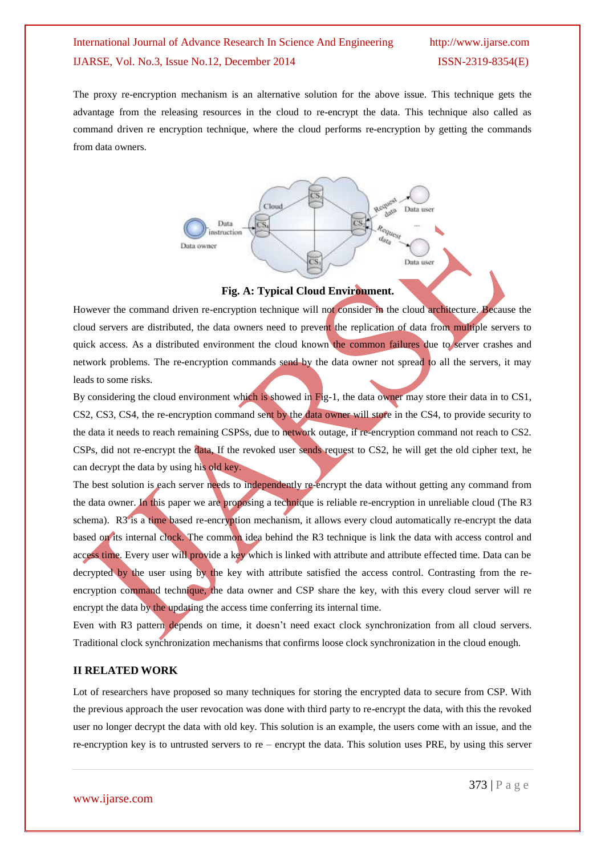The proxy re-encryption mechanism is an alternative solution for the above issue. This technique gets the advantage from the releasing resources in the cloud to re-encrypt the data. This technique also called as command driven re encryption technique, where the cloud performs re-encryption by getting the commands from data owners.



### **Fig. A: Typical Cloud Environment.**

However the command driven re-encryption technique will not consider in the cloud architecture. Because the cloud servers are distributed, the data owners need to prevent the replication of data from multiple servers to quick access. As a distributed environment the cloud known the common failures due to server crashes and network problems. The re-encryption commands send by the data owner not spread to all the servers, it may leads to some risks.

By considering the cloud environment which is showed in Fig-1, the data owner may store their data in to CS1, CS2, CS3, CS4, the re-encryption command sent by the data owner will store in the CS4, to provide security to the data it needs to reach remaining CSPSs, due to network outage, if re-encryption command not reach to CS2. CSPs, did not re-encrypt the data, If the revoked user sends request to CS2, he will get the old cipher text, he can decrypt the data by using his old key.

The best solution is each server needs to independently re-encrypt the data without getting any command from the data owner. In this paper we are proposing a technique is reliable re-encryption in unreliable cloud (The R3 schema). R3 is a time based re-encryption mechanism, it allows every cloud automatically re-encrypt the data based on its internal clock. The common idea behind the R3 technique is link the data with access control and access time. Every user will provide a key which is linked with attribute and attribute effected time. Data can be decrypted by the user using by the key with attribute satisfied the access control. Contrasting from the reencryption command technique, the data owner and CSP share the key, with this every cloud server will re encrypt the data by the updating the access time conferring its internal time.

Even with R3 pattern depends on time, it doesn't need exact clock synchronization from all cloud servers. Traditional clock synchronization mechanisms that confirms loose clock synchronization in the cloud enough.

#### **II RELATED WORK**

Lot of researchers have proposed so many techniques for storing the encrypted data to secure from CSP. With the previous approach the user revocation was done with third party to re-encrypt the data, with this the revoked user no longer decrypt the data with old key. This solution is an example, the users come with an issue, and the re-encryption key is to untrusted servers to re – encrypt the data. This solution uses PRE, by using this server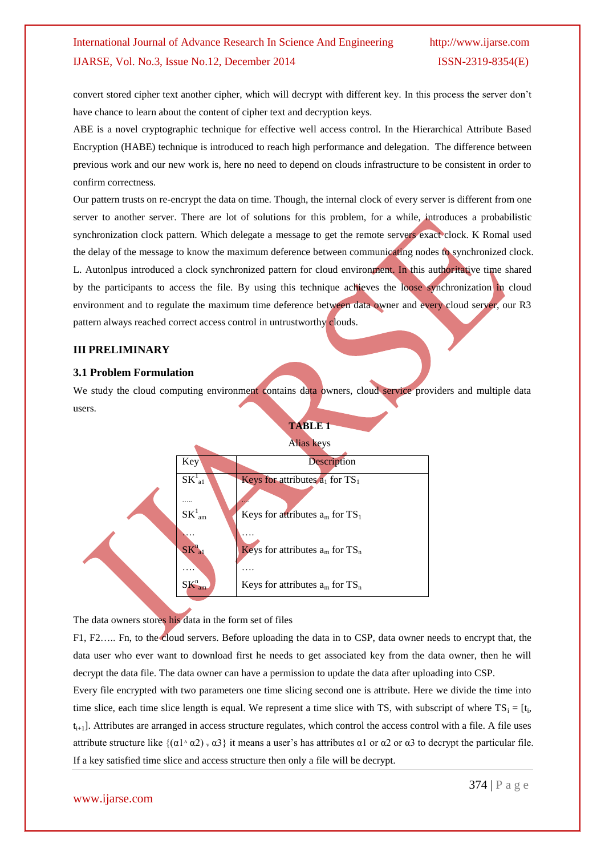convert stored cipher text another cipher, which will decrypt with different key. In this process the server don't have chance to learn about the content of cipher text and decryption keys.

ABE is a novel cryptographic technique for effective well access control. In the Hierarchical Attribute Based Encryption (HABE) technique is introduced to reach high performance and delegation. The difference between previous work and our new work is, here no need to depend on clouds infrastructure to be consistent in order to confirm correctness.

Our pattern trusts on re-encrypt the data on time. Though, the internal clock of every server is different from one server to another server. There are lot of solutions for this problem, for a while, introduces a probabilistic synchronization clock pattern. Which delegate a message to get the remote servers exact clock. K Romal used the delay of the message to know the maximum deference between communicating nodes to synchronized clock. L. Autonlpus introduced a clock synchronized pattern for cloud environment. In this authoritative time shared by the participants to access the file. By using this technique achieves the loose synchronization in cloud environment and to regulate the maximum time deference between data owner and every cloud server, our R3 pattern always reached correct access control in untrustworthy clouds.

#### **III PRELIMINARY**

#### **3.1 Problem Formulation**

We study the cloud computing environment contains data owners, cloud service providers and multiple data users.

**TABLE 1**



The data owners stores his data in the form set of files

F1, F2….. Fn, to the cloud servers. Before uploading the data in to CSP, data owner needs to encrypt that, the data user who ever want to download first he needs to get associated key from the data owner, then he will decrypt the data file. The data owner can have a permission to update the data after uploading into CSP.

Every file encrypted with two parameters one time slicing second one is attribute. Here we divide the time into time slice, each time slice length is equal. We represent a time slice with TS, with subscript of where  $TS_i = [t_i, t_j]$  $t_{i+1}$ . Attributes are arranged in access structure regulates, which control the access control with a file. A file uses attribute structure like  $\{(a1^\wedge a2)^\vee, a3\}$  it means a user's has attributes  $\alpha 1$  or  $\alpha 2$  or  $\alpha 3$  to decrypt the particular file. If a key satisfied time slice and access structure then only a file will be decrypt.

www.ijarse.com

374 | P a g e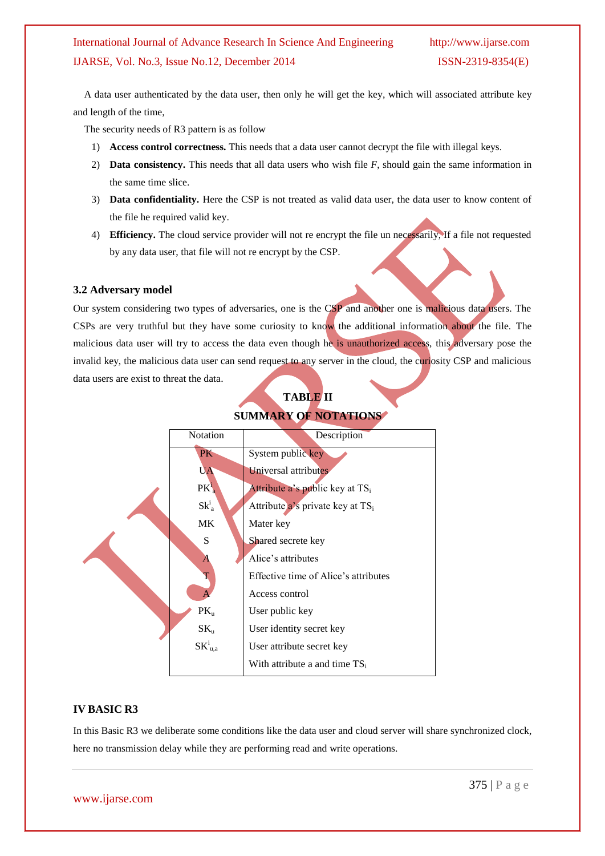A data user authenticated by the data user, then only he will get the key, which will associated attribute key and length of the time,

The security needs of R3 pattern is as follow

- 1) **Access control correctness.** This needs that a data user cannot decrypt the file with illegal keys.
- 2) **Data consistency.** This needs that all data users who wish file *F*, should gain the same information in the same time slice.
- 3) **Data confidentiality.** Here the CSP is not treated as valid data user, the data user to know content of the file he required valid key.
- 4) **Efficiency.** The cloud service provider will not re encrypt the file un necessarily, If a file not requested by any data user, that file will not re encrypt by the CSP.

## **3.2 Adversary model**

Our system considering two types of adversaries, one is the CSP and another one is malicious data users. The CSPs are very truthful but they have some curiosity to know the additional information about the file. The malicious data user will try to access the data even though he is unauthorized access, this adversary pose the invalid key, the malicious data user can send request to any server in the cloud, the curiosity CSP and malicious data users are exist to threat the data.



## **TABLE II SUMMARY OF NOTATIONS**

## **IV BASIC R3**

In this Basic R3 we deliberate some conditions like the data user and cloud server will share synchronized clock, here no transmission delay while they are performing read and write operations.

www.ijarse.com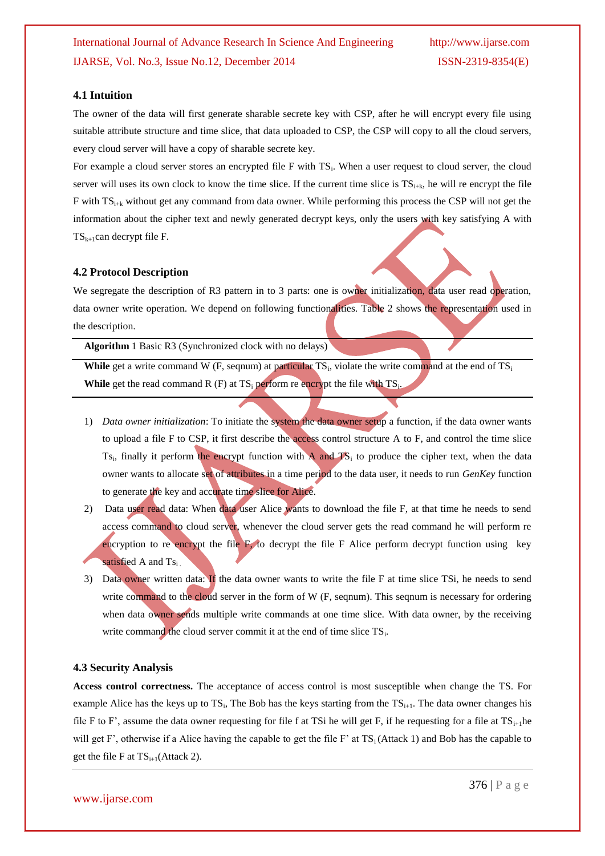#### **4.1 Intuition**

The owner of the data will first generate sharable secrete key with CSP, after he will encrypt every file using suitable attribute structure and time slice, that data uploaded to CSP, the CSP will copy to all the cloud servers, every cloud server will have a copy of sharable secrete key.

For example a cloud server stores an encrypted file F with TS<sub>i</sub>. When a user request to cloud server, the cloud server will uses its own clock to know the time slice. If the current time slice is  $TS_{i+k}$ , he will re encrypt the file F with TSi+k without get any command from data owner. While performing this process the CSP will not get the information about the cipher text and newly generated decrypt keys, only the users with key satisfying A with  $TS_{k+1}$ can decrypt file F.

### **4.2 Protocol Description**

We segregate the description of R3 pattern in to 3 parts: one is owner initialization, data user read operation, data owner write operation. We depend on following functionalities. Table 2 shows the representation used in the description.

**Algorithm** 1 Basic R3 (Synchronized clock with no delays)

**While** get a write command W (F, seqnum) at particular TS<sub>i</sub>, violate the write command at the end of TS<sub>i</sub> While get the read command  $R(F)$  at  $TS_i$  perform re encrypt the file with  $TS_i$ .

- 1) *Data owner initialization*: To initiate the system the data owner setup a function, if the data owner wants to upload a file F to CSP, it first describe the access control structure A to F, and control the time slice  $Ts_i$ , finally it perform the encrypt function with A and  $TS_i$  to produce the cipher text, when the data owner wants to allocate set of attributes in a time period to the data user, it needs to run *GenKey* function to generate the key and accurate time slice for Alice.
- 2) Data user read data: When data user Alice wants to download the file F, at that time he needs to send access command to cloud server, whenever the cloud server gets the read command he will perform re encryption to re encrypt the file  $F$ , to decrypt the file  $F$  Alice perform decrypt function using key satisfied A and  $Ts_i$
- 3) Data owner written data: If the data owner wants to write the file F at time slice TSi, he needs to send write command to the cloud server in the form of W (F, seqnum). This seqnum is necessary for ordering when data owner sends multiple write commands at one time slice. With data owner, by the receiving write command the cloud server commit it at the end of time slice TS<sub>i</sub>.

## **4.3 Security Analysis**

**Access control correctness.** The acceptance of access control is most susceptible when change the TS. For example Alice has the keys up to  $TS_i$ , The Bob has the keys starting from the  $TS_{i+1}$ . The data owner changes his file F to F', assume the data owner requesting for file f at TSi he will get F, if he requesting for a file at  $TS_{i+1}$ he will get F', otherwise if a Alice having the capable to get the file F' at TS<sub>i</sub> (Attack 1) and Bob has the capable to get the file F at  $TS_{i+1}(Attack 2)$ .

www.ijarse.com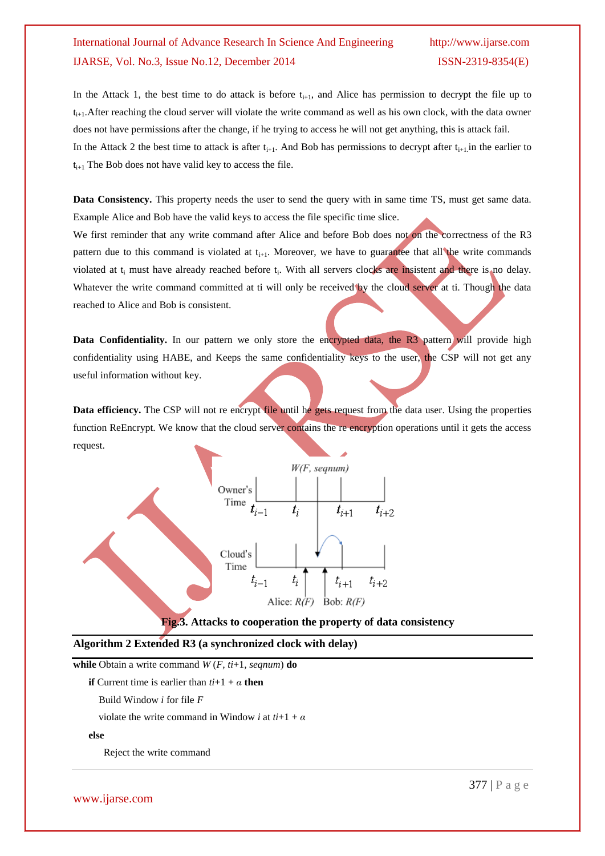In the Attack 1, the best time to do attack is before  $t_{i+1}$ , and Alice has permission to decrypt the file up to  $t_{i+1}$ . After reaching the cloud server will violate the write command as well as his own clock, with the data owner does not have permissions after the change, if he trying to access he will not get anything, this is attack fail. In the Attack 2 the best time to attack is after  $t_{i+1}$ . And Bob has permissions to decrypt after  $t_{i+1}$  in the earlier to  $t_{i+1}$  The Bob does not have valid key to access the file.

**Data Consistency.** This property needs the user to send the query with in same time TS, must get same data. Example Alice and Bob have the valid keys to access the file specific time slice.

We first reminder that any write command after Alice and before Bob does not on the correctness of the R3 pattern due to this command is violated at  $t_{i+1}$ . Moreover, we have to guarantee that all the write commands violated at  $t_i$  must have already reached before  $t_i$ . With all servers clocks are insistent and there is no delay. Whatever the write command committed at ti will only be received by the cloud server at ti. Though the data reached to Alice and Bob is consistent.

**Data Confidentiality.** In our pattern we only store the encrypted data, the R3 pattern will provide high confidentiality using HABE, and Keeps the same confidentiality keys to the user, the CSP will not get any useful information without key.

Data efficiency. The CSP will not re encrypt file until he gets request from the data user. Using the properties function ReEncrypt. We know that the cloud server contains the re encryption operations until it gets the access request.



**Fig.3. Attacks to cooperation the property of data consistency**

**Algorithm 2 Extended R3 (a synchronized clock with delay)** 

**while** Obtain a write command  $W(F, ti+1, \text{seanum})$  **do** 

 **if** Current time is earlier than  $t\hat{i}+1 + \alpha$  **then** 

Build Window *i* for file *F*

violate the write command in Window *i* at  $t$ *i*+1 + *α* 

 **else**

Reject the write command

www.ijarse.com

377 | P a g e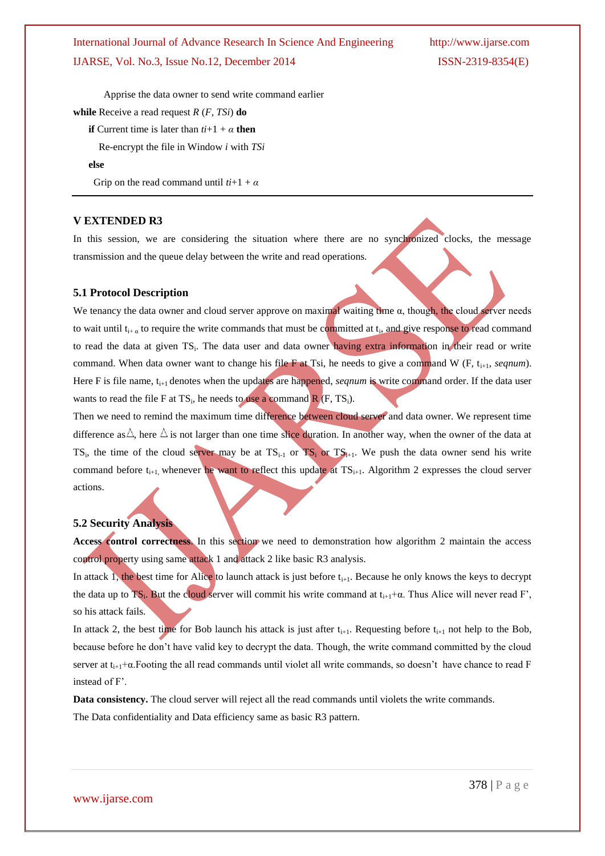Apprise the data owner to send write command earlier

**while** Receive a read request *R* (*F, TSi*) **do if** Current time is later than  $ti+1 + \alpha$  **then** 

Re-encrypt the file in Window *i* with *TSi*

 **else**

Grip on the read command until  $ti+1 + \alpha$ 

### **V EXTENDED R3**

In this session, we are considering the situation where there are no synchronized clocks, the message transmission and the queue delay between the write and read operations.

### **5.1 Protocol Description**

We tenancy the data owner and cloud server approve on maximal waiting time  $\alpha$ , though, the cloud server needs to wait until  $t_{i+\alpha}$  to require the write commands that must be committed at  $t_i$ , and give response to read command to read the data at given TS<sub>i</sub>. The data user and data owner having extra information in their read or write command. When data owner want to change his file  $\overline{F}$  at Tsi, he needs to give a command W (F, t<sub>i+1</sub>, *seqnum*). Here F is file name,  $t_{i+1}$  denotes when the updates are happened, *seqnum* is write command order. If the data user wants to read the file F at  $TS_i$ , he needs to use a command  $R$  (F, TS<sub>i</sub>).

Then we need to remind the maximum time difference between cloud server and data owner. We represent time difference as  $\triangle$ , here  $\triangle$  is not larger than one time slice duration. In another way, when the owner of the data at TS<sub>i</sub>, the time of the cloud server may be at  $TS_{i-1}$  or  $TS_i$  or  $TS_{i+1}$ . We push the data owner send his write command before  $t_{i+1}$ , whenever he want to reflect this update at  $TS_{i+1}$ . Algorithm 2 expresses the cloud server actions.

## **5.2 Security Analysis**

Access control correctness. In this section we need to demonstration how algorithm 2 maintain the access control property using same attack 1 and attack 2 like basic R3 analysis.

In attack 1, the best time for Alice to launch attack is just before  $t_{i+1}$ . Because he only knows the keys to decrypt the data up to  $TS_i$ . But the cloud server will commit his write command at  $t_{i+1}+\alpha$ . Thus Alice will never read F', so his attack fails.

In attack 2, the best time for Bob launch his attack is just after  $t_{i+1}$ . Requesting before  $t_{i+1}$  not help to the Bob, because before he don't have valid key to decrypt the data. Though, the write command committed by the cloud server at  $t_{i+1}+\alpha$ . Footing the all read commands until violet all write commands, so doesn't have chance to read F instead of F'.

**Data consistency.** The cloud server will reject all the read commands until violets the write commands. The Data confidentiality and Data efficiency same as basic R3 pattern.